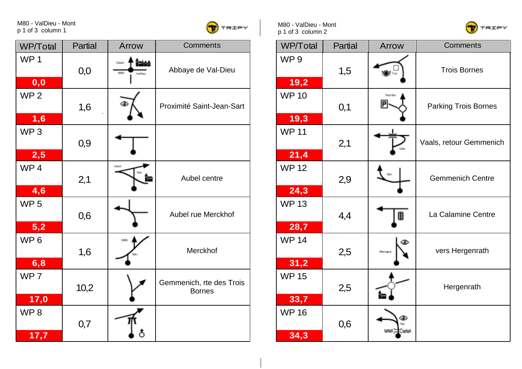M80 - ValDieu - Mont p 1 of 3 column 1



| WP/Total                | Partial | Arrow                                  | <b>Comments</b>                           | WP/Total                | Partial | Arrow | Comments            |
|-------------------------|---------|----------------------------------------|-------------------------------------------|-------------------------|---------|-------|---------------------|
| WP <sub>1</sub><br>0,0  | 0,0     | Îzicê<br>Olgan<br>Nelso<br><b>GADS</b> | Abbaye de Val-Dieu                        | WP <sub>9</sub><br>19,2 | 1,5     | ₩≂    | <b>Trois Bornes</b> |
| WP <sub>2</sub><br>1,6  | 1,6     |                                        | Proximité Saint-Jean-Sart                 | <b>WP 10</b><br>19,3    | 0,1     | 冋     | Parking Trois Bo    |
| WP <sub>3</sub><br>2,5  | 0,9     |                                        |                                           | <b>WP11</b><br>21,4     | 2,1     | tion  | Vaals, retour Gem   |
| WP <sub>4</sub><br>4,6  | 2,1     |                                        | Aubel centre                              | <b>WP12</b><br>24,3     | 2,9     |       | Gemmenich Ce        |
| WP <sub>5</sub><br>5,2  | 0,6     |                                        | Aubel rue Merckhof                        | <b>WP13</b><br>28,7     | 4,4     | 0     | La Calamine Ce      |
| WP <sub>6</sub><br>6,8  | 1,6     |                                        | Merckhof                                  | <b>WP 14</b><br>31,2    | 2,5     | ⊛     | vers Hergenra       |
| WP <sub>7</sub><br>17,0 | 10,2    |                                        | Gemmenich, rte des Trois<br><b>Bornes</b> | <b>WP15</b><br>33,7     | 2,5     |       | Hergenrath          |
| WP <sub>8</sub><br>17,7 | 0,7     | δ                                      |                                           | <b>WP 16</b><br>34,3    | 0,6     |       |                     |

M80 - ValDieu - Mont p 1 of 3 column 2



| WP/Total                | <b>Partial</b> | Arrow         | <b>Comments</b>             |
|-------------------------|----------------|---------------|-----------------------------|
| WP <sub>9</sub><br>19,2 | 1,5            | ₩             | <b>Trois Bornes</b>         |
| <b>WP 10</b><br>19,3    | 0,1            | Pays Dan<br>P | <b>Parking Trois Bornes</b> |
| <b>WP11</b><br>21,4     | 2,1            |               | Vaals, retour Gemmenich     |
| <b>WP12</b><br>24,3     | 2,9            |               | <b>Gemmenich Centre</b>     |
| <b>WP13</b><br>28,7     | 4,4            | U             | La Calamine Centre          |
| <b>WP 14</b><br>31,2    | 2,5            | ⊛             | vers Hergenrath             |
| <b>WP 15</b><br>33,7    | 2,5            |               | Hergenrath                  |
| <b>WP 16</b><br>34,3    | 0,6            |               |                             |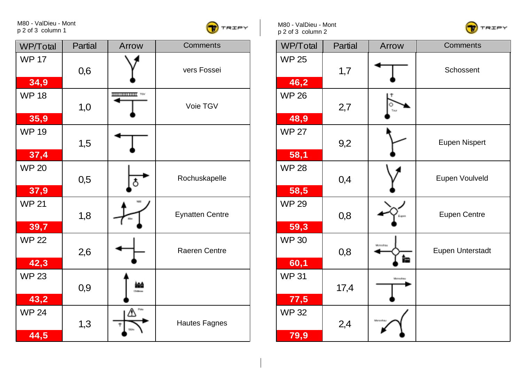M80 - ValDieu - Mont p 2 of 3 column 1



| WP/Total             | Partial | Arrow              | <b>Comments</b>        | WP/Total             | Partial | Arrow        | Comments             |
|----------------------|---------|--------------------|------------------------|----------------------|---------|--------------|----------------------|
| <b>WP 17</b><br>34,9 | 0,6     |                    | vers Fossei            | <b>WP 25</b><br>46,2 | 1,7     |              | Schossent            |
| <b>WP18</b><br>35,9  | 1,0     | <b>HILLING YOU</b> | Voie TGV               | <b>WP 26</b><br>48,9 | 2,7     | Tea          |                      |
| <b>WP 19</b><br>37,4 | 1,5     |                    |                        | <b>WP 27</b><br>58,1 | 9,2     |              | <b>Eupen Nispe</b>   |
| <b>WP 20</b><br>37,9 | 0,5     | \$                 | Rochuskapelle          | <b>WP 28</b><br>58,5 | 0,4     |              | Eupen Voulve         |
| <b>WP 21</b><br>39,7 | 1,8     |                    | <b>Eynatten Centre</b> | <b>WP 29</b><br>59,3 | 0,8     |              | <b>Eupen Centr</b>   |
| <b>WP 22</b><br>42,3 | 2,6     |                    | Raeren Centre          | <b>WP30</b><br>60,1  | 0,8     | Monscha<br>饂 | <b>Eupen Unterst</b> |
| <b>WP 23</b><br>43,2 | 0,9     | i≙â<br>Chillege    |                        | <b>WP31</b><br>77,5  | 17,4    | Aonahau      |                      |
| <b>WP 24</b><br>44,5 | 1,3     | $\mathbb{V}_-$     | <b>Hautes Fagnes</b>   | <b>WP32</b><br>79,9  | 2,4     | Morazh       |                      |

M80 - ValDieu - Mont p 2 of 3 column 2



| WP/Total             | Partial | Arrow          | Comments             |  |  |
|----------------------|---------|----------------|----------------------|--|--|
| <b>WP 25</b><br>46,2 | 1,7     |                | Schossent            |  |  |
|                      |         |                |                      |  |  |
| <b>WP 26</b>         | 2,7     |                |                      |  |  |
| 48,9                 |         |                |                      |  |  |
| <b>WP 27</b>         | 9,2     |                | <b>Eupen Nispert</b> |  |  |
| 58,1                 |         |                |                      |  |  |
| <b>WP 28</b>         | 0,4     |                | Eupen Voulveld       |  |  |
| 58,5                 |         |                |                      |  |  |
| <b>WP 29</b>         | 0,8     |                | <b>Eupen Centre</b>  |  |  |
| 59,3                 |         |                |                      |  |  |
| <b>WP30</b>          | 0,8     | Monschau<br>Îm | Eupen Unterstadt     |  |  |
| 60,1                 |         |                |                      |  |  |
| <b>WP31</b>          | 17,4    | Monshau        |                      |  |  |
| 77,5                 |         |                |                      |  |  |
| <b>WP32</b>          | 2,4     |                |                      |  |  |
| 79,9                 |         |                |                      |  |  |